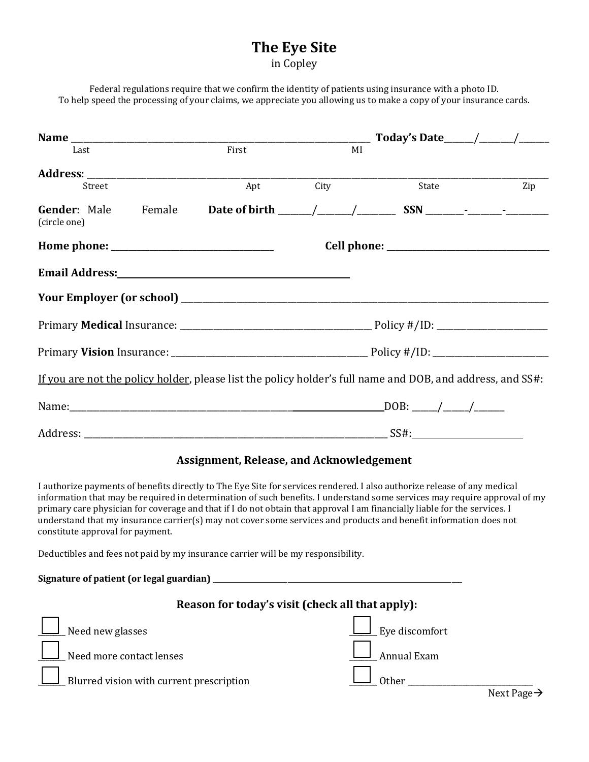## **The Eye Site** in Copley

Federal regulations require that we confirm the identity of patients using insurance with a photo ID. To help speed the processing of your claims, we appreciate you allowing us to make a copy of your insurance cards.

| Last                                                                                                       |  | First |      | MI |       |     |
|------------------------------------------------------------------------------------------------------------|--|-------|------|----|-------|-----|
|                                                                                                            |  |       |      |    |       |     |
| Street                                                                                                     |  | Apt   | City |    | State | Zip |
| <b>Gender:</b> Male Female<br>(circle one)                                                                 |  |       |      |    |       |     |
|                                                                                                            |  |       |      |    |       |     |
|                                                                                                            |  |       |      |    |       |     |
|                                                                                                            |  |       |      |    |       |     |
|                                                                                                            |  |       |      |    |       |     |
|                                                                                                            |  |       |      |    |       |     |
| If you are not the policy holder, please list the policy holder's full name and DOB, and address, and SS#: |  |       |      |    |       |     |
|                                                                                                            |  |       |      |    |       |     |
|                                                                                                            |  |       |      |    |       |     |

## **Assignment, Release, and Acknowledgement**

I authorize payments of benefits directly to The Eye Site for services rendered. I also authorize release of any medical information that may be required in determination of such benefits. I understand some services may require approval of my primary care physician for coverage and that if I do not obtain that approval I am financially liable for the services. I understand that my insurance carrier(s) may not cover some services and products and benefit information does not constitute approval for payment.

Deductibles and fees not paid by my insurance carrier will be my responsibility.

**Signature of patient (or legal guardian)** \_\_\_\_\_\_\_\_\_\_\_\_\_\_\_\_\_\_\_\_\_\_\_\_\_\_\_\_\_\_\_\_\_\_\_\_\_\_\_\_\_\_\_\_\_\_\_\_\_\_\_\_\_\_\_\_\_\_\_\_\_\_\_\_\_\_\_\_\_\_ **Reason for today's visit (check all that apply):** <u>Let</u> Need new glasses **the contract of the contract of the contract of the contract of the contract of the contract of the contract of the contract of the contract of the contract of the contract of the contract of the co** \_\_\_\_\_\_\_ Need more contact lenses \_\_\_\_\_\_\_ Annual Exam \_\_\_\_\_\_\_ Blurred vision with current prescription \_\_\_\_\_\_\_ Other \_\_\_\_\_\_\_\_\_\_\_\_\_\_\_\_\_\_\_\_\_\_\_\_\_\_\_\_\_\_\_\_

Next Page→